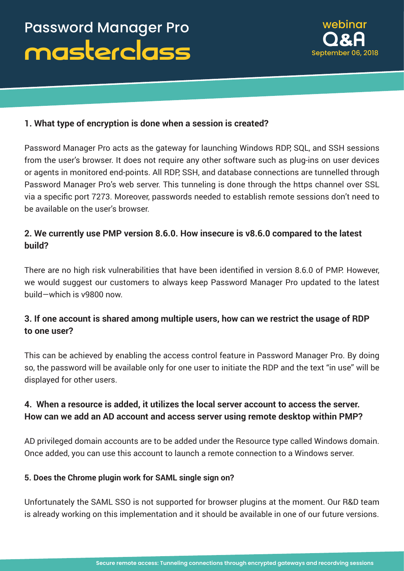

#### **1. What type of encryption is done when a session is created?**

Password Manager Pro acts as the gateway for launching Windows RDP, SQL, and SSH sessions from the user's browser. It does not require any other software such as plug-ins on user devices or agents in monitored end-points. All RDP, SSH, and database connections are tunnelled through Password Manager Pro's web server. This tunneling is done through the https channel over SSL via a specific port 7273. Moreover, passwords needed to establish remote sessions don't need to be available on the user's browser.

## **2. We currently use PMP version 8.6.0. How insecure is v8.6.0 compared to the latest build?**

There are no high risk vulnerabilities that have been identified in version 8.6.0 of PMP. However, we would suggest our customers to always keep Password Manager Pro updated to the latest build—which is v9800 now.

## **3. If one account is shared among multiple users, how can we restrict the usage of RDP to one user?**

This can be achieved by enabling the access control feature in Password Manager Pro. By doing so, the password will be available only for one user to initiate the RDP and the text "in use" will be displayed for other users.

## **4. When a resource is added, it utilizes the local server account to access the server. How can we add an AD account and access server using remote desktop within PMP?**

AD privileged domain accounts are to be added under the Resource type called Windows domain. Once added, you can use this account to launch a remote connection to a Windows server.

#### **5. Does the Chrome plugin work for SAML single sign on?**

Unfortunately the SAML SSO is not supported for browser plugins at the moment. Our R&D team is already working on this implementation and it should be available in one of our future versions.